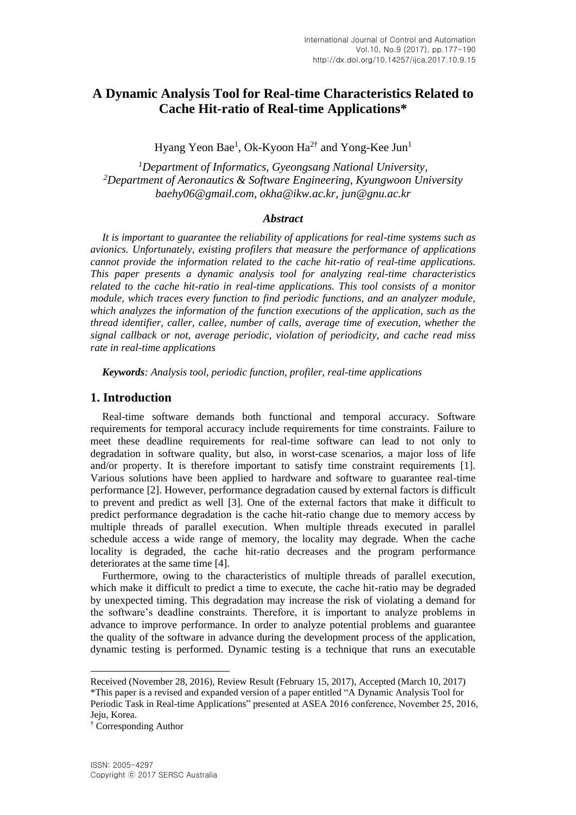# **A Dynamic Analysis Tool for Real-time Characteristics Related to Cache Hit-ratio of Real-time Applications\***

Hyang Yeon Bae<sup>1</sup>, Ok-Kyoon Ha<sup>2†</sup> and Yong-Kee Jun<sup>1</sup>

*<sup>1</sup>Department of Informatics, Gyeongsang National University, <sup>2</sup>Department of Aeronautics & Software Engineering, Kyungwoon University baehy06@gmail.com, okha@ikw.ac.kr, jun@gnu.ac.kr*

## *Abstract*

*It is important to guarantee the reliability of applications for real-time systems such as avionics. Unfortunately, existing profilers that measure the performance of applications cannot provide the information related to the cache hit-ratio of real-time applications. This paper presents a dynamic analysis tool for analyzing real-time characteristics related to the cache hit-ratio in real-time applications. This tool consists of a monitor module, which traces every function to find periodic functions, and an analyzer module, which analyzes the information of the function executions of the application, such as the thread identifier, caller, callee, number of calls, average time of execution, whether the signal callback or not, average periodic, violation of periodicity, and cache read miss rate in real-time applications*

*Keywords: Analysis tool, periodic function, profiler, real-time applications*

## **1. Introduction**

Real-time software demands both functional and temporal accuracy. Software requirements for temporal accuracy include requirements for time constraints. Failure to meet these deadline requirements for real-time software can lead to not only to degradation in software quality, but also, in worst-case scenarios, a major loss of life and/or property. It is therefore important to satisfy time constraint requirements [1]. Various solutions have been applied to hardware and software to guarantee real-time performance [2]. However, performance degradation caused by external factors is difficult to prevent and predict as well [3]. One of the external factors that make it difficult to predict performance degradation is the cache hit-ratio change due to memory access by multiple threads of parallel execution. When multiple threads executed in parallel schedule access a wide range of memory, the locality may degrade. When the cache locality is degraded, the cache hit-ratio decreases and the program performance deteriorates at the same time [4].

Furthermore, owing to the characteristics of multiple threads of parallel execution, which make it difficult to predict a time to execute, the cache hit-ratio may be degraded by unexpected timing. This degradation may increase the risk of violating a demand for the software's deadline constraints. Therefore, it is important to analyze problems in advance to improve performance. In order to analyze potential problems and guarantee the quality of the software in advance during the development process of the application, dynamic testing is performed. Dynamic testing is a technique that runs an executable

 $\overline{a}$ 

Received (November 28, 2016), Review Result (February 15, 2017), Accepted (March 10, 2017) \*This paper is a revised and expanded version of a paper entitled "A Dynamic Analysis Tool for Periodic Task in Real-time Applications" presented at ASEA 2016 conference, November 25, 2016, Jeju, Korea.

<sup>†</sup> Corresponding Author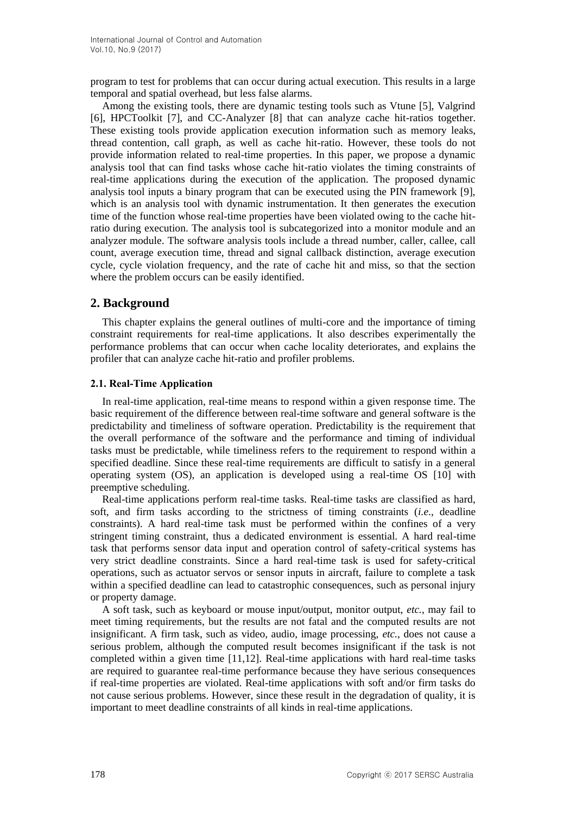program to test for problems that can occur during actual execution. This results in a large temporal and spatial overhead, but less false alarms.

Among the existing tools, there are dynamic testing tools such as Vtune [5], Valgrind [6], HPCToolkit [7], and CC-Analyzer [8] that can analyze cache hit-ratios together. These existing tools provide application execution information such as memory leaks, thread contention, call graph, as well as cache hit-ratio. However, these tools do not provide information related to real-time properties. In this paper, we propose a dynamic analysis tool that can find tasks whose cache hit-ratio violates the timing constraints of real-time applications during the execution of the application. The proposed dynamic analysis tool inputs a binary program that can be executed using the PIN framework [9], which is an analysis tool with dynamic instrumentation. It then generates the execution time of the function whose real-time properties have been violated owing to the cache hitratio during execution. The analysis tool is subcategorized into a monitor module and an analyzer module. The software analysis tools include a thread number, caller, callee, call count, average execution time, thread and signal callback distinction, average execution cycle, cycle violation frequency, and the rate of cache hit and miss, so that the section where the problem occurs can be easily identified.

# **2. Background**

This chapter explains the general outlines of multi-core and the importance of timing constraint requirements for real-time applications. It also describes experimentally the performance problems that can occur when cache locality deteriorates, and explains the profiler that can analyze cache hit-ratio and profiler problems.

### **2.1. Real-Time Application**

In real-time application, real-time means to respond within a given response time. The basic requirement of the difference between real-time software and general software is the predictability and timeliness of software operation. Predictability is the requirement that the overall performance of the software and the performance and timing of individual tasks must be predictable, while timeliness refers to the requirement to respond within a specified deadline. Since these real-time requirements are difficult to satisfy in a general operating system (OS), an application is developed using a real-time OS [10] with preemptive scheduling.

Real-time applications perform real-time tasks. Real-time tasks are classified as hard, soft, and firm tasks according to the strictness of timing constraints (*i.e*., deadline constraints). A hard real-time task must be performed within the confines of a very stringent timing constraint, thus a dedicated environment is essential. A hard real-time task that performs sensor data input and operation control of safety-critical systems has very strict deadline constraints. Since a hard real-time task is used for safety-critical operations, such as actuator servos or sensor inputs in aircraft, failure to complete a task within a specified deadline can lead to catastrophic consequences, such as personal injury or property damage.

A soft task, such as keyboard or mouse input/output, monitor output, *etc.*, may fail to meet timing requirements, but the results are not fatal and the computed results are not insignificant. A firm task, such as video, audio, image processing, *etc.*, does not cause a serious problem, although the computed result becomes insignificant if the task is not completed within a given time [11,12]. Real-time applications with hard real-time tasks are required to guarantee real-time performance because they have serious consequences if real-time properties are violated. Real-time applications with soft and/or firm tasks do not cause serious problems. However, since these result in the degradation of quality, it is important to meet deadline constraints of all kinds in real-time applications.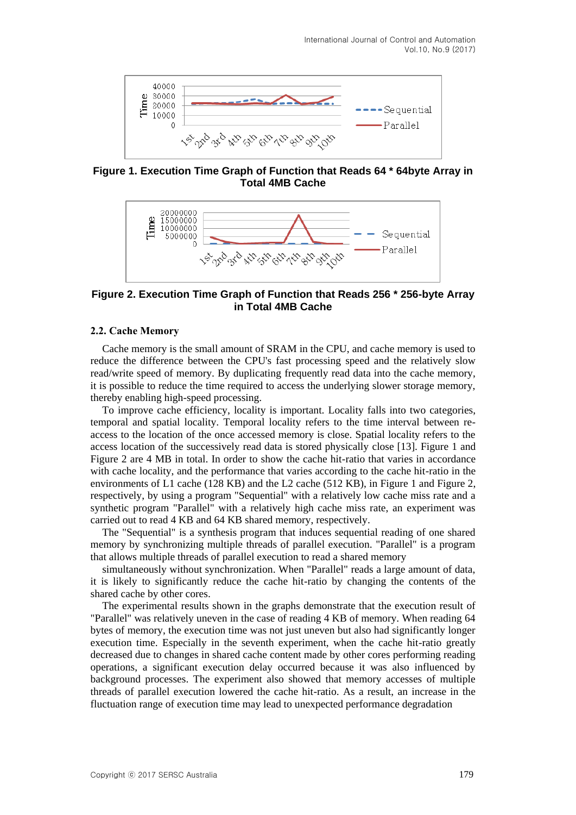

**Figure 1. Execution Time Graph of Function that Reads 64 \* 64byte Array in Total 4MB Cache**



**Figure 2. Execution Time Graph of Function that Reads 256 \* 256-byte Array in Total 4MB Cache**

### **2.2. Cache Memory**

Cache memory is the small amount of SRAM in the CPU, and cache memory is used to reduce the difference between the CPU's fast processing speed and the relatively slow read/write speed of memory. By duplicating frequently read data into the cache memory, it is possible to reduce the time required to access the underlying slower storage memory, thereby enabling high-speed processing.

To improve cache efficiency, locality is important. Locality falls into two categories, temporal and spatial locality. Temporal locality refers to the time interval between reaccess to the location of the once accessed memory is close. Spatial locality refers to the access location of the successively read data is stored physically close [13]. Figure 1 and Figure 2 are 4 MB in total. In order to show the cache hit-ratio that varies in accordance with cache locality, and the performance that varies according to the cache hit-ratio in the environments of L1 cache (128 KB) and the L2 cache (512 KB), in Figure 1 and Figure 2, respectively, by using a program "Sequential" with a relatively low cache miss rate and a synthetic program "Parallel" with a relatively high cache miss rate, an experiment was carried out to read 4 KB and 64 KB shared memory, respectively.

The "Sequential" is a synthesis program that induces sequential reading of one shared memory by synchronizing multiple threads of parallel execution. "Parallel" is a program that allows multiple threads of parallel execution to read a shared memory

simultaneously without synchronization. When "Parallel" reads a large amount of data, it is likely to significantly reduce the cache hit-ratio by changing the contents of the shared cache by other cores.

The experimental results shown in the graphs demonstrate that the execution result of "Parallel" was relatively uneven in the case of reading 4 KB of memory. When reading 64 bytes of memory, the execution time was not just uneven but also had significantly longer execution time. Especially in the seventh experiment, when the cache hit-ratio greatly decreased due to changes in shared cache content made by other cores performing reading operations, a significant execution delay occurred because it was also influenced by background processes. The experiment also showed that memory accesses of multiple threads of parallel execution lowered the cache hit-ratio. As a result, an increase in the fluctuation range of execution time may lead to unexpected performance degradation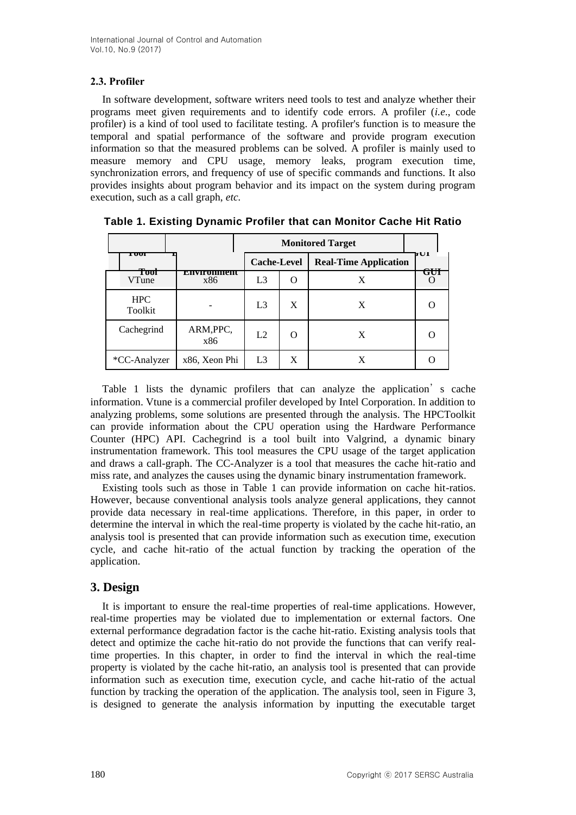# **2.3. Profiler**

In software development, software writers need tools to test and analyze whether their programs meet given requirements and to identify code errors. A profiler (*i.e*., code profiler) is a kind of tool used to facilitate testing. A profiler's function is to measure the temporal and spatial performance of the software and provide program execution information so that the measured problems can be solved. A profiler is mainly used to measure memory and CPU usage, memory leaks, program execution time, synchronization errors, and frequency of use of specific commands and functions. It also provides insights about program behavior and its impact on the system during program execution, such as a call graph, *etc.*

|                       |                   |                    |        | <b>Monitored Target</b>      |                       |  |  |  |
|-----------------------|-------------------|--------------------|--------|------------------------------|-----------------------|--|--|--|
| 1 σοι                 |                   | <b>Cache-Level</b> |        | <b>Real-Time Application</b> | ЪUI<br>$\alpha$ it it |  |  |  |
| Tool<br>VTune         | епунопшент<br>x86 | L <sub>3</sub>     |        | X                            | GUI                   |  |  |  |
| <b>HPC</b><br>Toolkit |                   | L <sub>3</sub>     | X      | X                            |                       |  |  |  |
| Cachegrind            | ARM, PPC,<br>x86  | L2                 | $\cap$ | X                            |                       |  |  |  |
| *CC-Analyzer          | x86, Xeon Phi     | L <sub>3</sub>     | X      | X                            |                       |  |  |  |

**Table 1. Existing Dynamic Profiler that can Monitor Cache Hit Ratio**

Table 1 lists the dynamic profilers that can analyze the application's cache information. Vtune is a commercial profiler developed by Intel Corporation. In addition to analyzing problems, some solutions are presented through the analysis. The HPCToolkit can provide information about the CPU operation using the Hardware Performance Counter (HPC) API. Cachegrind is a tool built into Valgrind, a dynamic binary instrumentation framework. This tool measures the CPU usage of the target application and draws a call-graph. The CC-Analyzer is a tool that measures the cache hit-ratio and miss rate, and analyzes the causes using the dynamic binary instrumentation framework.

Existing tools such as those in Table 1 can provide information on cache hit-ratios. However, because conventional analysis tools analyze general applications, they cannot provide data necessary in real-time applications. Therefore, in this paper, in order to determine the interval in which the real-time property is violated by the cache hit-ratio, an analysis tool is presented that can provide information such as execution time, execution cycle, and cache hit-ratio of the actual function by tracking the operation of the application.

# **3. Design**

It is important to ensure the real-time properties of real-time applications. However, real-time properties may be violated due to implementation or external factors. One external performance degradation factor is the cache hit-ratio. Existing analysis tools that detect and optimize the cache hit-ratio do not provide the functions that can verify realtime properties. In this chapter, in order to find the interval in which the real-time property is violated by the cache hit-ratio, an analysis tool is presented that can provide information such as execution time, execution cycle, and cache hit-ratio of the actual function by tracking the operation of the application. The analysis tool, seen in Figure 3, is designed to generate the analysis information by inputting the executable target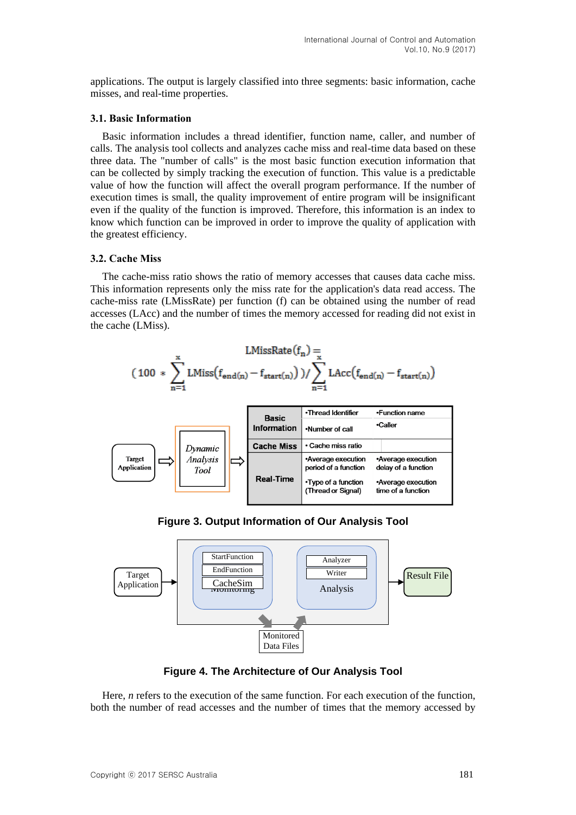applications. The output is largely classified into three segments: basic information, cache misses, and real-time properties.

### **3.1. Basic Information**

Basic information includes a thread identifier, function name, caller, and number of calls. The analysis tool collects and analyzes cache miss and real-time data based on these three data. The "number of calls" is the most basic function execution information that can be collected by simply tracking the execution of function. This value is a predictable value of how the function will affect the overall program performance. If the number of execution times is small, the quality improvement of entire program will be insignificant even if the quality of the function is improved. Therefore, this information is an index to know which function can be improved in order to improve the quality of application with the greatest efficiency.

### **3.2. Cache Miss**

The cache-miss ratio shows the ratio of memory accesses that causes data cache miss. This information represents only the miss rate for the application's data read access. The cache-miss rate (LMissRate) per function (f) can be obtained using the number of read accesses (LAcc) and the number of times the memory accessed for reading did not exist in the cache (LMiss).





**Figure 3. Output Information of Our Analysis Tool**



**Figure 4. The Architecture of Our Analysis Tool**

Here, *n* refers to the execution of the same function. For each execution of the function, both the number of read accesses and the number of times that the memory accessed by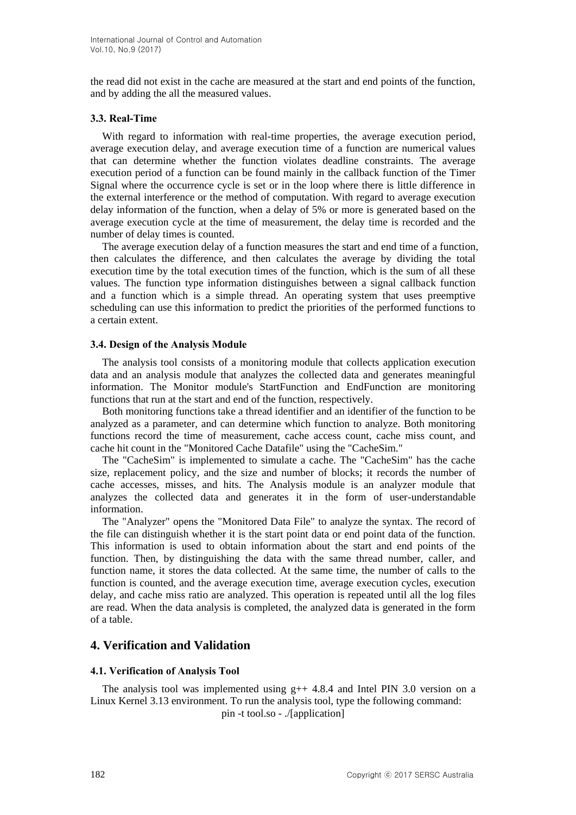the read did not exist in the cache are measured at the start and end points of the function, and by adding the all the measured values.

### **3.3. Real-Time**

With regard to information with real-time properties, the average execution period, average execution delay, and average execution time of a function are numerical values that can determine whether the function violates deadline constraints. The average execution period of a function can be found mainly in the callback function of the Timer Signal where the occurrence cycle is set or in the loop where there is little difference in the external interference or the method of computation. With regard to average execution delay information of the function, when a delay of 5% or more is generated based on the average execution cycle at the time of measurement, the delay time is recorded and the number of delay times is counted.

The average execution delay of a function measures the start and end time of a function, then calculates the difference, and then calculates the average by dividing the total execution time by the total execution times of the function, which is the sum of all these values. The function type information distinguishes between a signal callback function and a function which is a simple thread. An operating system that uses preemptive scheduling can use this information to predict the priorities of the performed functions to a certain extent.

## **3.4. Design of the Analysis Module**

The analysis tool consists of a monitoring module that collects application execution data and an analysis module that analyzes the collected data and generates meaningful information. The Monitor module's StartFunction and EndFunction are monitoring functions that run at the start and end of the function, respectively.

Both monitoring functions take a thread identifier and an identifier of the function to be analyzed as a parameter, and can determine which function to analyze. Both monitoring functions record the time of measurement, cache access count, cache miss count, and cache hit count in the "Monitored Cache Datafile" using the "CacheSim."

The "CacheSim" is implemented to simulate a cache. The "CacheSim" has the cache size, replacement policy, and the size and number of blocks; it records the number of cache accesses, misses, and hits. The Analysis module is an analyzer module that analyzes the collected data and generates it in the form of user-understandable information.

The "Analyzer" opens the "Monitored Data File" to analyze the syntax. The record of the file can distinguish whether it is the start point data or end point data of the function. This information is used to obtain information about the start and end points of the function. Then, by distinguishing the data with the same thread number, caller, and function name, it stores the data collected. At the same time, the number of calls to the function is counted, and the average execution time, average execution cycles, execution delay, and cache miss ratio are analyzed. This operation is repeated until all the log files are read. When the data analysis is completed, the analyzed data is generated in the form of a table.

# **4. Verification and Validation**

# **4.1. Verification of Analysis Tool**

The analysis tool was implemented using  $g++ 4.8.4$  and Intel PIN 3.0 version on a Linux Kernel 3.13 environment. To run the analysis tool, type the following command: pin -t tool.so - ./[application]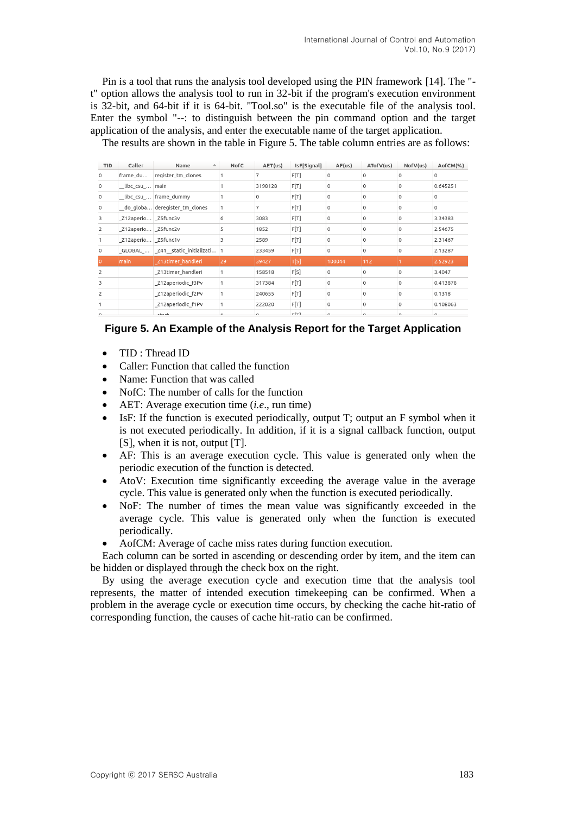Pin is a tool that runs the analysis tool developed using the PIN framework [14]. The " t" option allows the analysis tool to run in 32-bit if the program's execution environment is 32-bit, and 64-bit if it is 64-bit. "Tool.so" is the executable file of the analysis tool. Enter the symbol "--: to distinguish between the pin command option and the target application of the analysis, and enter the executable name of the target application.

The results are shown in the table in Figure 5. The table column entries are as follows:

| <b>TID</b>     | Caller               | Name<br>$\blacktriangle$            | NofC | AET(us) | IsF[Signal] | AF(us)      | ATofV(us)    | NofV(us) | AofCM(%) |
|----------------|----------------------|-------------------------------------|------|---------|-------------|-------------|--------------|----------|----------|
| $\circ$        | frame_du             | register tm clones                  |      |         | F[T]        | $\mathbf 0$ | $\Omega$     | U        | $\Omega$ |
| $\mathbf 0$    | libc csu  main       |                                     |      | 3198128 | F[T]        | 0           | $\Omega$     | O        | 0.645251 |
| 0              |                      | _libc_csu_   frame_dummy            |      | 0       | F[T]        | $\Omega$    | 0            | 0        | 0        |
| $\mathbf 0$    |                      | do globa deregister tm clones       |      |         | F[T]        | $\mathbf 0$ | $\Omega$     | O        | $\Omega$ |
| 3              | _Z12aperio _Z5func3v |                                     | 6    | 3083    | F[T]        | $\mathbf 0$ | 0            | 0        | 3.34383  |
| $\overline{2}$ | _Z12aperio _Z5func2v |                                     | 5    | 1852    | F[T]        | $\circ$     | 0            | 0        | 2.54675  |
|                | Z12aperio Z5func1v   |                                     | 3    | 2589    | F[T]        | $\Omega$    | $\Omega$     | 0        | 2.31467  |
| $\circ$        |                      | _GLOBAL_  _Z41__static_initializati |      | 233459  | F[T]        | $\mathbf 0$ | 0            | 0        | 2.13287  |
| I٥             | main                 | Z13timer handleri                   | 29   | 39427   | T[S]        | 100044      | 112          |          | 2.52923  |
| $\overline{2}$ |                      | Z13timer handleri                   |      | 158518  | F[S]        | $\Omega$    | $\mathbf{O}$ | 0        | 3.4047   |
| 3              |                      | Z12aperiodic f3Pv                   |      | 317384  | F[T]        | $\mathbf 0$ | 0            | 0        | 0.413878 |
| $\overline{2}$ |                      | Z12aperiodic f2Pv                   |      | 240655  | F[T]        | $\Omega$    | $\Omega$     | 0        | 0.1318   |
|                |                      | Z12aperiodic f1Pv                   |      | 222020  | F[T]        | $\mathbf 0$ | 0            | 0        | 0.108063 |
|                |                      |                                     |      |         | $-5 - 3$    |             |              |          |          |



- TID: Thread ID
- Caller: Function that called the function
- Name: Function that was called
- NofC: The number of calls for the function
- AET: Average execution time (*i.e*., run time)
- IsF: If the function is executed periodically, output T; output an F symbol when it is not executed periodically. In addition, if it is a signal callback function, output [S], when it is not, output [T].
- AF: This is an average execution cycle. This value is generated only when the periodic execution of the function is detected.
- AtoV: Execution time significantly exceeding the average value in the average cycle. This value is generated only when the function is executed periodically.
- NoF: The number of times the mean value was significantly exceeded in the average cycle. This value is generated only when the function is executed periodically.
- AofCM: Average of cache miss rates during function execution.

Each column can be sorted in ascending or descending order by item, and the item can be hidden or displayed through the check box on the right.

By using the average execution cycle and execution time that the analysis tool represents, the matter of intended execution timekeeping can be confirmed. When a problem in the average cycle or execution time occurs, by checking the cache hit-ratio of corresponding function, the causes of cache hit-ratio can be confirmed.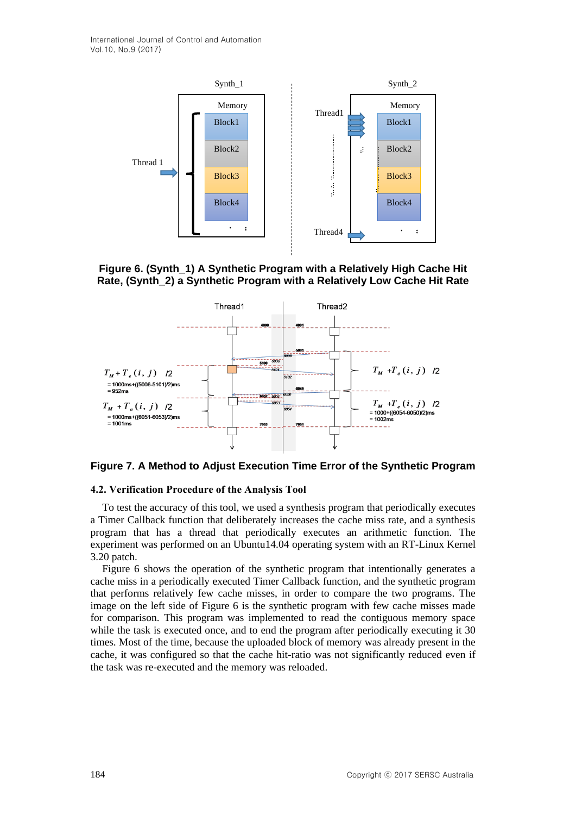International Journal of Control and Automation Vol.10, No.9 (2017)







**Figure 7. A Method to Adjust Execution Time Error of the Synthetic Program**

#### **4.2. Verification Procedure of the Analysis Tool**

To test the accuracy of this tool, we used a synthesis program that periodically executes a Timer Callback function that deliberately increases the cache miss rate, and a synthesis program that has a thread that periodically executes an arithmetic function. The experiment was performed on an Ubuntu14.04 operating system with an RT-Linux Kernel 3.20 patch.

Figure 6 shows the operation of the synthetic program that intentionally generates a cache miss in a periodically executed Timer Callback function, and the synthetic program that performs relatively few cache misses, in order to compare the two programs. The image on the left side of Figure 6 is the synthetic program with few cache misses made for comparison. This program was implemented to read the contiguous memory space while the task is executed once, and to end the program after periodically executing it 30 times. Most of the time, because the uploaded block of memory was already present in the cache, it was configured so that the cache hit-ratio was not significantly reduced even if the task was re-executed and the memory was reloaded.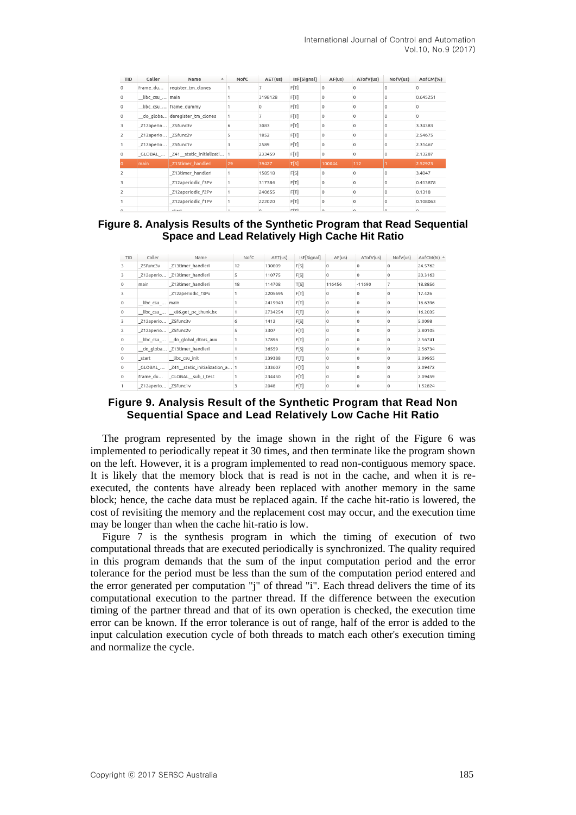| TID            | Caller             | Name<br>$\blacktriangle$        | NofC           | AET(us) | IsF[Signal] | AF(us)      | ATofV(us)    | NofV(us) | AofCM(%)     |
|----------------|--------------------|---------------------------------|----------------|---------|-------------|-------------|--------------|----------|--------------|
| $\circ$        | frame du           | register tm clones              |                |         | F[T]        | $\circ$     | $\Omega$     | Ω        | <sup>o</sup> |
| $\mathbf 0$    | libc_csu_ main     |                                 |                | 3198128 | F[T]        | $\circ$     | 0            | 0        | 0.645251     |
| $\circ$        |                    | libc csu    frame_dummy         |                | 0       | F[T]        | $\circ$     | $\circ$      | 0        | $\Omega$     |
| $\circ$        |                    | do globa deregister tm clones   |                |         | F[T]        | $\circ$     | $\circ$      | 0        | $\Omega$     |
| 3              | Z12aperio Z5func3v |                                 | 6              | 3083    | F[T]        | $\circ$     | 0            | Ω        | 3.34383      |
| 2              | Z12aperio Z5func2v |                                 | 5              | 1852    | F[T]        | $\circ$     | $\circ$      | 0        | 2.54675      |
|                | Z12aperio Z5func1v |                                 | 3              | 2589    | F[T]        | $\mathbf 0$ | $\mathbf 0$  | 0        | 2.31467      |
| $\mathbf{0}$   |                    | GLOBAL  Z41 static initializati | $\overline{1}$ | 233459  | F[T]        | $\mathbf 0$ | 0            | 0        | 2.13287      |
| O              | main               | Z13timer handleri               | 29             | 39427   | T[S]        | 100044      | 112          |          | 2.52923      |
| 2              |                    | Z13timer handleri               |                | 158518  | F[S]        | $\mathbf 0$ | 0            | 0        | 3.4047       |
| 3              |                    | Z12aperiodic f3Pv               |                | 317384  | F[T]        | $\Omega$    | $\mathbf{0}$ | U        | 0.413878     |
| $\overline{c}$ |                    | Z12aperiodic f2Pv               |                | 240655  | F[T]        | $\mathbf 0$ | $\Omega$     | 0        | 0.1318       |
|                |                    | Z12aperiodic f1Pv               |                | 222020  | F[T]        | $\mathbf 0$ | 0            | 0        | 0.108063     |
| $\sim$         |                    | abash.                          |                | $\sim$  | $r + 1$     | $\sim$      | $\sim$       |          | $\sim$       |

### **Figure 8. Analysis Results of the Synthetic Program that Read Sequential Space and Lead Relatively High Cache Hit Ratio**

| TID            | Caller             | Name                                      | NofC | AET(us) | IsF[Signal] | AF(US)       | ATofV(us)    | Nofv(us)     | AofCM(%) <sup>△</sup> |
|----------------|--------------------|-------------------------------------------|------|---------|-------------|--------------|--------------|--------------|-----------------------|
| 3              | Z5func3v           | Z13timer_handleri                         | 12   | 130809  | F[S]        | $\circ$      | $\Omega$     | $\Omega$     | 24.5762               |
| 3              |                    | _Z12aperio   _Z13timer_handleri           | 5    | 110775  | F[S]        | $\Omega$     | $\Omega$     | $\Omega$     | 20.3163               |
| $\mathbf 0$    | main               | Z13timer_handleri                         | 18   | 114708  | T[S]        | 116456       | $-11690$     |              | 18.8856               |
| 3              |                    | Z12aperiodic f3Pv                         |      | 2205695 | F[T]        | $\Omega$     | $\Omega$     | $\Omega$     | 17.426                |
| $\mathbf 0$    | libc csu  main     |                                           |      | 2419949 | F[T]        | $\circ$      | 0            | $\circ$      | 16.6396               |
| $\circ$        |                    | _libc_csu_ _x86.get_pc_thunk.bx           |      | 2734254 | F[T]        | $\Omega$     | $\Omega$     | $\Omega$     | 16.2035               |
| 3              | Z12aperio Z5func3v |                                           | 6    | 1412    | F[S]        | $\circ$      | 0            | $\circ$      | 5.0098                |
| $\overline{2}$ | Z12aperio Z5func2v |                                           | 5    | 3307    | F[T]        | $\Omega$     | $\Omega$     | $\Omega$     | 2.80105               |
| $\mathbf 0$    |                    | libc csu  do global dtors aux             |      | 37896   | F[T]        | 0            | $\mathbf 0$  | $\circ$      | 2.56741               |
| $\mathbf{0}$   |                    | _do_globa   _Z13timer_handleri            |      | 36559   | F[S]        | $\mathbf{0}$ | $\Omega$     | $\mathbf{0}$ | 2.56734               |
| $\mathbf 0$    | start              | libc_csu_init                             |      | 239388  | F[T]        | $\Omega$     | $\mathbf 0$  | $\circ$      | 2.09955               |
| $\mathbf{0}$   |                    | GLOBAL    Z41 static initialization a   1 |      | 233607  | F[T]        | $\mathbf{0}$ | $\mathbf{0}$ | $\mathbf{0}$ | 2.09472               |
| $\mathbf 0$    |                    | frame_du GLOBAL_sub_I_test                |      | 234450  | F[T]        | $\circ$      | $\mathbf 0$  | $\circ$      | 2.09459               |
|                | Z12aperio Z5func1v |                                           |      | 2048    | F[T]        | $\mathbf{0}$ | $\mathbf{0}$ | $\mathbf{0}$ | 1.52824               |

## **Figure 9. Analysis Result of the Synthetic Program that Read Non Sequential Space and Lead Relatively Low Cache Hit Ratio**

The program represented by the image shown in the right of the Figure 6 was implemented to periodically repeat it 30 times, and then terminate like the program shown on the left. However, it is a program implemented to read non-contiguous memory space. It is likely that the memory block that is read is not in the cache, and when it is reexecuted, the contents have already been replaced with another memory in the same block; hence, the cache data must be replaced again. If the cache hit-ratio is lowered, the cost of revisiting the memory and the replacement cost may occur, and the execution time may be longer than when the cache hit-ratio is low.

Figure 7 is the synthesis program in which the timing of execution of two computational threads that are executed periodically is synchronized. The quality required in this program demands that the sum of the input computation period and the error tolerance for the period must be less than the sum of the computation period entered and the error generated per computation "j" of thread "i". Each thread delivers the time of its computational execution to the partner thread. If the difference between the execution timing of the partner thread and that of its own operation is checked, the execution time error can be known. If the error tolerance is out of range, half of the error is added to the input calculation execution cycle of both threads to match each other's execution timing and normalize the cycle.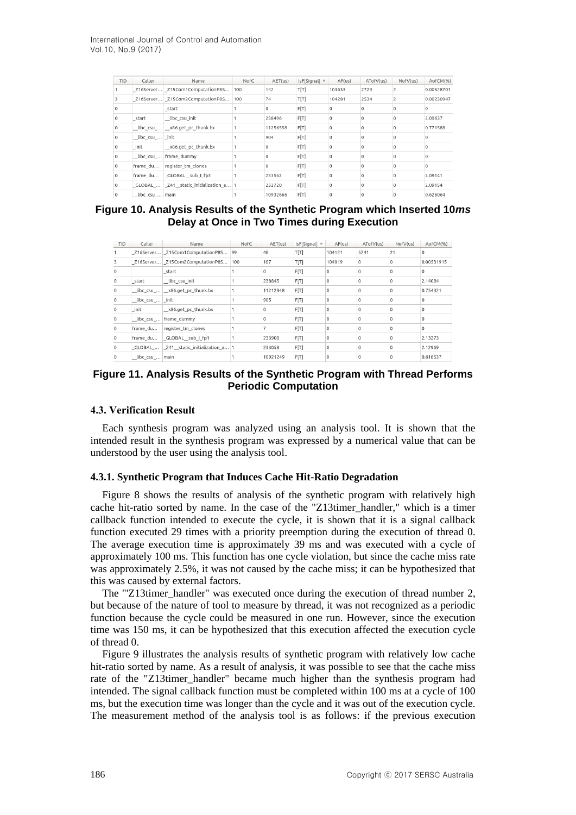| <b>TID</b>   | Caller          | Name                                  | NofC | AET(us)  | IsF[Signal] A | AF(us)   | ATofV(us) | NofV(us)       | AofCM(%)   |
|--------------|-----------------|---------------------------------------|------|----------|---------------|----------|-----------|----------------|------------|
|              |                 | _Z16Server _Z15Com1ComputationP8S     | 100  | 142      | T[T]          | 103633   | 2729      | $\overline{c}$ | 0.00528701 |
|              |                 | Z16Server Z15Com2ComputationP8S       | 100  | 74       | T[T]          | 104281   | 2534      |                | 0.00230947 |
| $\Omega$     |                 | start                                 |      | $\Omega$ | F[T]          | $\Omega$ | $\Omega$  | $\Omega$       | $\Omega$   |
| $\Omega$     | start           | libc_csu_init                         |      | 238496   | F[T]          | $\Omega$ |           | $\Omega$       | 2.09637    |
| $\mathbf{0}$ |                 | libc csu  x86.get pc thunk.bx         |      | 11256558 | F[T]          |          |           | $\Omega$       | 0.771588   |
| $\Omega$     | libc_csu_ _init |                                       |      | 904      | F[T]          |          |           |                |            |
| $\Omega$     | init            | _x86.get_pc_thunk.bx                  |      |          | F[T]          |          |           |                |            |
| $\Omega$     |                 | _libc_csu_   frame_dummy              |      |          | F[T]          | $\Omega$ |           |                |            |
| $\Omega$     |                 | frame du register tm clones           |      | 6        | F[T]          | $\Omega$ |           | $\Omega$       |            |
| $\Omega$     |                 | frame_du __ GLOBAL__sub_I_fp1         |      | 233562   | F[T]          | $\Omega$ |           | $\Omega$       | 2.09141    |
| $\Omega$     |                 | GLOBAL  Z41 static initialization a 1 |      | 232720   | F[T]          | $\Omega$ | $\Omega$  | $\Omega$       | 2.09154    |
| $\mathbf{0}$ | libc csu  main  |                                       |      | 10932666 | F[T]          | $\Omega$ | $\Omega$  | $\Omega$       | 0.626064   |

## **Figure 10. Analysis Results of the Synthetic Program which Inserted 10***ms* **Delay at Once in Two Times during Execution**

| TID         | Caller           | Name                                    | NofC | AET(us)  | IsF[Signal] ▲ | AF(us)   | ATofV(us)    | Nofv(us)     | AofCM(%)     |
|-------------|------------------|-----------------------------------------|------|----------|---------------|----------|--------------|--------------|--------------|
|             |                  | Z16Server Z15Com1ComputationP8S 99      |      | 48       | T[T]          | 104121   | 5241         | 21           | $\Omega$     |
| 3           |                  | Z16Server Z15Com2ComputationP8S         | 100  | 107      | T[T]          | 104019   | $\mathbf{0}$ | $\mathbf{0}$ | 0.00531915   |
| $\circ$     |                  | start                                   |      | 0        | F[T]          | $\Omega$ | $\Omega$     | $\Omega$     | $\Omega$     |
| $\mathbf 0$ | start            | libc_csu_init                           |      | 238845   | F[T]          | $\Omega$ | $\Omega$     | $\Omega$     | 2.14084      |
| $\circ$     |                  | libc csu  x86.get pc thunk.bx           |      | 11212948 | F[T]          | $\circ$  | $\Omega$     | $\circ$      | 0.754321     |
| $\circ$     | _libc_csu_ _init |                                         |      | 905      | F[T]          | $\Omega$ | $\Omega$     | $\mathbf{0}$ | $\mathbf{0}$ |
| $\mathbf 0$ | init             | x86.qet pc thunk.bx                     |      | 0        | F[T]          | $\Omega$ | $\Omega$     | $\Omega$     | $\Omega$     |
| $\mathbf 0$ |                  | libc csu  Frame dummy                   |      | 0        | F[T]          | $\circ$  | $\Omega$     | $\Omega$     | $\Omega$     |
| $\Omega$    |                  | frame du register tm clones             |      |          | F[T]          | $\Omega$ |              | $\Omega$     | $\mathbf 0$  |
| $\circ$     |                  | frame du   GLOBAL sub I fp1             |      | 233900   | F[T]          | $\Omega$ | $\Omega$     | $\Omega$     | 2.13273      |
| $\mathbf 0$ |                  | GLOBAL    Z41 static initialization a 1 |      | 233058   | F[T]          | $\circ$  | $\Omega$     | $\Omega$     | 2.12969      |
| $^{\circ}$  | libc csu  main   |                                         |      | 10921249 | F[T]          |          |              |              | 0.618537     |

### **Figure 11. Analysis Results of the Synthetic Program with Thread Performs Periodic Computation**

### **4.3. Verification Result**

Each synthesis program was analyzed using an analysis tool. It is shown that the intended result in the synthesis program was expressed by a numerical value that can be understood by the user using the analysis tool.

### **4.3.1. Synthetic Program that Induces Cache Hit-Ratio Degradation**

Figure 8 shows the results of analysis of the synthetic program with relatively high cache hit-ratio sorted by name. In the case of the " $Z13$ timer handler," which is a timer callback function intended to execute the cycle, it is shown that it is a signal callback function executed 29 times with a priority preemption during the execution of thread 0. The average execution time is approximately 39 ms and was executed with a cycle of approximately 100 ms. This function has one cycle violation, but since the cache miss rate was approximately 2.5%, it was not caused by the cache miss; it can be hypothesized that this was caused by external factors.

The "'Z13timer\_handler" was executed once during the execution of thread number 2, but because of the nature of tool to measure by thread, it was not recognized as a periodic function because the cycle could be measured in one run. However, since the execution time was 150 ms, it can be hypothesized that this execution affected the execution cycle of thread 0.

Figure 9 illustrates the analysis results of synthetic program with relatively low cache hit-ratio sorted by name. As a result of analysis, it was possible to see that the cache miss rate of the "Z13timer\_handler" became much higher than the synthesis program had intended. The signal callback function must be completed within 100 ms at a cycle of 100 ms, but the execution time was longer than the cycle and it was out of the execution cycle. The measurement method of the analysis tool is as follows: if the previous execution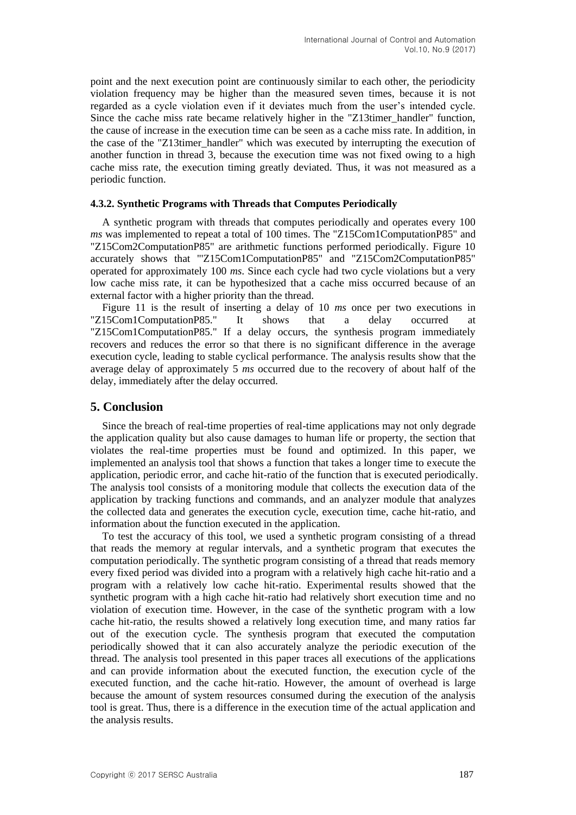point and the next execution point are continuously similar to each other, the periodicity violation frequency may be higher than the measured seven times, because it is not regarded as a cycle violation even if it deviates much from the user's intended cycle. Since the cache miss rate became relatively higher in the "Z13timer handler" function, the cause of increase in the execution time can be seen as a cache miss rate. In addition, in the case of the "Z13timer handler" which was executed by interrupting the execution of another function in thread 3, because the execution time was not fixed owing to a high cache miss rate, the execution timing greatly deviated. Thus, it was not measured as a periodic function.

### **4.3.2. Synthetic Programs with Threads that Computes Periodically**

A synthetic program with threads that computes periodically and operates every 100 *ms* was implemented to repeat a total of 100 times. The "Z15Com1ComputationP85" and "Z15Com2ComputationP85" are arithmetic functions performed periodically. Figure 10 accurately shows that "'Z15Com1ComputationP85" and "Z15Com2ComputationP85" operated for approximately 100 *ms*. Since each cycle had two cycle violations but a very low cache miss rate, it can be hypothesized that a cache miss occurred because of an external factor with a higher priority than the thread.

Figure 11 is the result of inserting a delay of 10 *ms* once per two executions in "Z15Com1ComputationP85." It shows that a delay occurred at "Z15Com1ComputationP85." If a delay occurs, the synthesis program immediately recovers and reduces the error so that there is no significant difference in the average execution cycle, leading to stable cyclical performance. The analysis results show that the average delay of approximately 5 *ms* occurred due to the recovery of about half of the delay, immediately after the delay occurred.

### **5. Conclusion**

Since the breach of real-time properties of real-time applications may not only degrade the application quality but also cause damages to human life or property, the section that violates the real-time properties must be found and optimized. In this paper, we implemented an analysis tool that shows a function that takes a longer time to execute the application, periodic error, and cache hit-ratio of the function that is executed periodically. The analysis tool consists of a monitoring module that collects the execution data of the application by tracking functions and commands, and an analyzer module that analyzes the collected data and generates the execution cycle, execution time, cache hit-ratio, and information about the function executed in the application.

To test the accuracy of this tool, we used a synthetic program consisting of a thread that reads the memory at regular intervals, and a synthetic program that executes the computation periodically. The synthetic program consisting of a thread that reads memory every fixed period was divided into a program with a relatively high cache hit-ratio and a program with a relatively low cache hit-ratio. Experimental results showed that the synthetic program with a high cache hit-ratio had relatively short execution time and no violation of execution time. However, in the case of the synthetic program with a low cache hit-ratio, the results showed a relatively long execution time, and many ratios far out of the execution cycle. The synthesis program that executed the computation periodically showed that it can also accurately analyze the periodic execution of the thread. The analysis tool presented in this paper traces all executions of the applications and can provide information about the executed function, the execution cycle of the executed function, and the cache hit-ratio. However, the amount of overhead is large because the amount of system resources consumed during the execution of the analysis tool is great. Thus, there is a difference in the execution time of the actual application and the analysis results.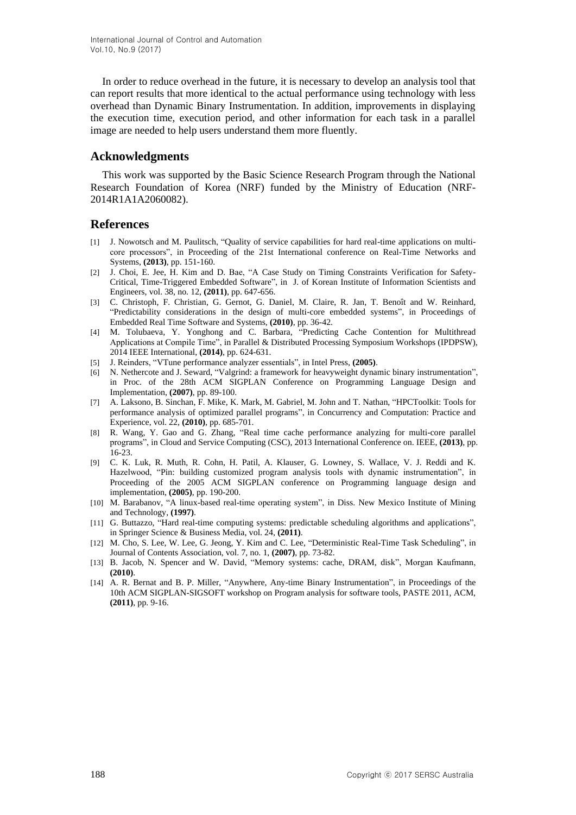In order to reduce overhead in the future, it is necessary to develop an analysis tool that can report results that more identical to the actual performance using technology with less overhead than Dynamic Binary Instrumentation. In addition, improvements in displaying the execution time, execution period, and other information for each task in a parallel image are needed to help users understand them more fluently.

## **Acknowledgments**

This work was supported by the Basic Science Research Program through the National Research Foundation of Korea (NRF) funded by the Ministry of Education (NRF-2014R1A1A2060082).

# **References**

- [1] J. Nowotsch and M. Paulitsch, "Quality of service capabilities for hard real-time applications on multicore processors", in Proceeding of the 21st International conference on Real-Time Networks and Systems, **(2013)**, pp. 151-160.
- [2] J. Choi, E. Jee, H. Kim and D. Bae, "A Case Study on Timing Constraints Verification for Safety-Critical, Time-Triggered Embedded Software", in J. of Korean Institute of Information Scientists and Engineers, vol. 38, no. 12, **(2011)**, pp. 647-656.
- [3] C. Christoph, F. Christian, G. Gernot, G. Daniel, M. Claire, R. Jan, T. Benoît and W. Reinhard, "Predictability considerations in the design of multi-core embedded systems", in Proceedings of Embedded Real Time Software and Systems, **(2010)**, pp. 36-42.
- [4] M. Tolubaeva, Y. Yonghong and C. Barbara, "Predicting Cache Contention for Multithread Applications at Compile Time", in Parallel & Distributed Processing Symposium Workshops (IPDPSW), 2014 IEEE International, **(2014)**, pp. 624-631.
- [5] J. Reinders, "VTune performance analyzer essentials", in Intel Press, **(2005)**.
- [6] N. Nethercote and J. Seward, "Valgrind: a framework for heavyweight dynamic binary instrumentation", in Proc. of the 28th ACM SIGPLAN Conference on Programming Language Design and Implementation, **(2007)**, pp. 89-100.
- [7] A. Laksono, B. Sinchan, F. Mike, K. Mark, M. Gabriel, M. John and T. Nathan, "HPCToolkit: Tools for performance analysis of optimized parallel programs", in Concurrency and Computation: Practice and Experience, vol. 22, **(2010)**, pp. 685-701.
- [8] R. Wang, Y. Gao and G. Zhang, "Real time cache performance analyzing for multi-core parallel programs", in Cloud and Service Computing (CSC), 2013 International Conference on. IEEE, **(2013)**, pp. 16-23.
- [9] C. K. Luk, R. Muth, R. Cohn, H. Patil, A. Klauser, G. Lowney, S. Wallace, V. J. Reddi and K. Hazelwood, "Pin: building customized program analysis tools with dynamic instrumentation", in Proceeding of the 2005 ACM SIGPLAN conference on Programming language design and implementation, **(2005)**, pp. 190-200.
- [10] M. Barabanov, "A linux-based real-time operating system", in Diss. New Mexico Institute of Mining and Technology, **(1997)**.
- [11] G. Buttazzo, "Hard real-time computing systems: predictable scheduling algorithms and applications", in Springer Science & Business Media, vol. 24, **(2011)**.
- [12] M. Cho, S. Lee, W. Lee, G. Jeong, Y. Kim and C. Lee, "Deterministic Real-Time Task Scheduling", in Journal of Contents Association, vol. 7, no. 1, **(2007)**, pp. 73-82.
- [13] B. Jacob, N. Spencer and W. David, "Memory systems: cache, DRAM, disk", Morgan Kaufmann, **(2010)**.
- [14] A. R. Bernat and B. P. Miller, "Anywhere, Any-time Binary Instrumentation", in Proceedings of the 10th ACM SIGPLAN-SIGSOFT workshop on Program analysis for software tools, PASTE 2011, ACM, **(2011)**, pp. 9-16.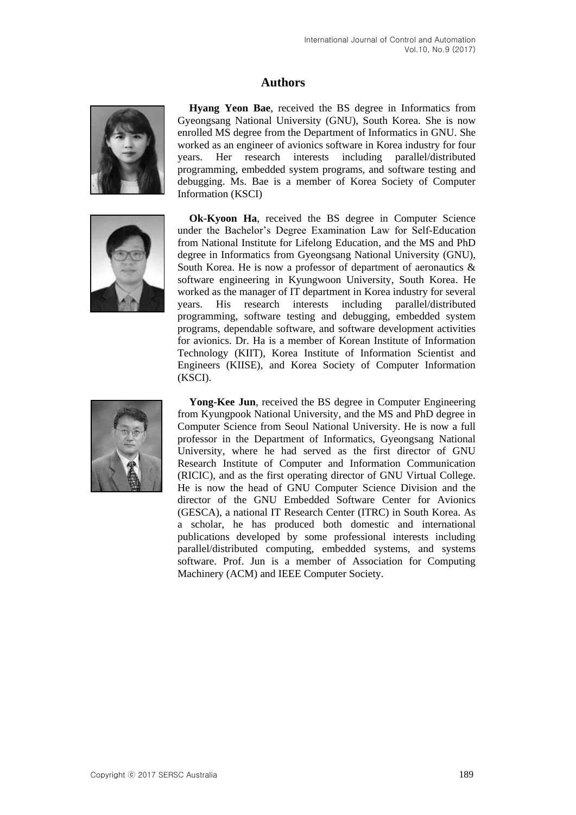# **Authors**



**Hyang Yeon Bae**, received the BS degree in Informatics from Gyeongsang National University (GNU), South Korea. She is now enrolled MS degree from the Department of Informatics in GNU. She worked as an engineer of avionics software in Korea industry for four years. Her research interests including parallel/distributed programming, embedded system programs, and software testing and debugging. Ms. Bae is a member of Korea Society of Computer Information (KSCI)



**Ok-Kyoon Ha**, received the BS degree in Computer Science under the Bachelor's Degree Examination Law for Self-Education from National Institute for Lifelong Education, and the MS and PhD degree in Informatics from Gyeongsang National University (GNU), South Korea. He is now a professor of department of aeronautics & software engineering in Kyungwoon University, South Korea. He worked as the manager of IT department in Korea industry for several years. His research interests including parallel/distributed programming, software testing and debugging, embedded system programs, dependable software, and software development activities for avionics. Dr. Ha is a member of Korean Institute of Information Technology (KIIT), Korea Institute of Information Scientist and Engineers (KIISE), and Korea Society of Computer Information (KSCI).



**Yong-Kee Jun**, received the BS degree in [Computer Engineering](http://www.ce.kyungpook.ac.kr/) from [Kyungpook National University,](http://www.kyungpook.ac.kr/) and the MS and PhD degree in [Computer Science](http://cse.snu.ac.kr/) from [Seoul National University.](http://www.snu.ac.kr/) He is now a full professor in the Department of Informatics, Gyeongsang National University, where he had served as the first director of GNU Research Institute of Computer and Information Communication (RICIC), and as the first operating director of GNU Virtual College. He is now the head of GNU Computer Science Division and the director of the GNU Embedded Software Center for Avionics (GESCA), a national IT Research Center (ITRC) in South Korea. As a scholar, he has produced both domestic and international publications developed by some professional interests including parallel/distributed computing, embedded systems, and systems software. Prof. Jun is a member of Association for Computing Machinery (ACM) and IEEE Computer Society.